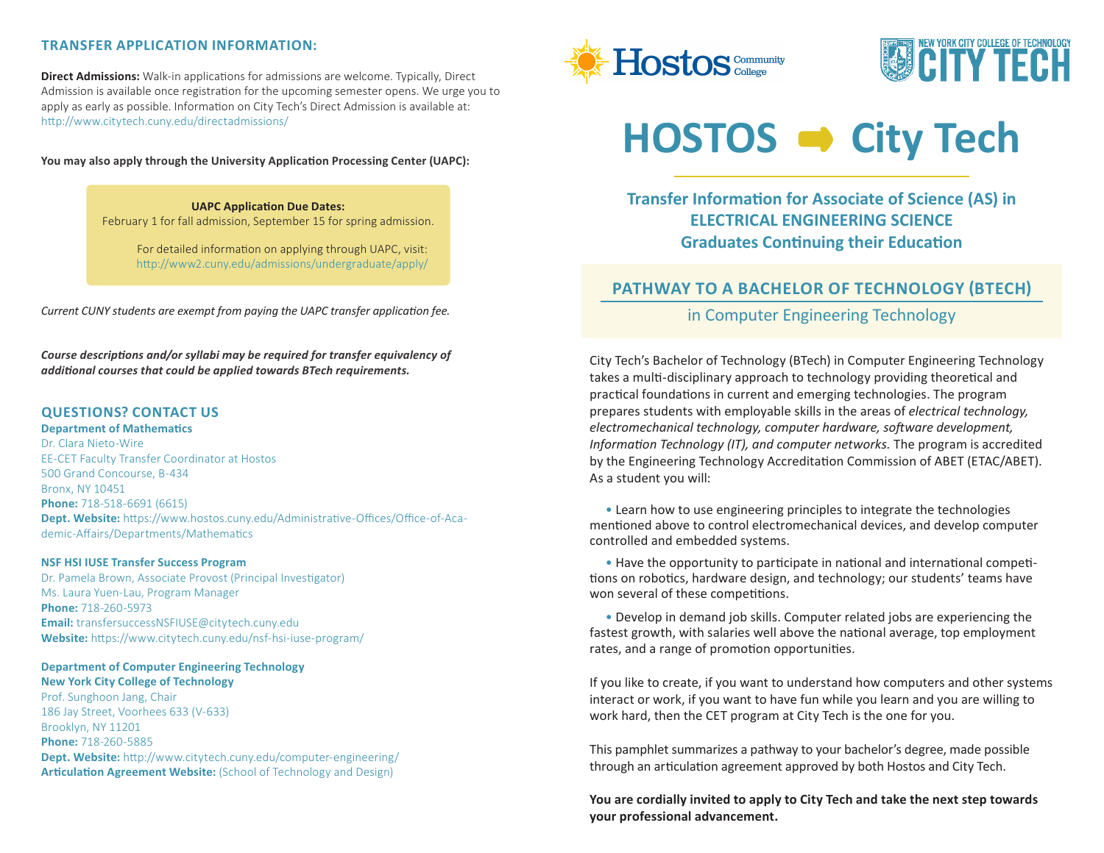## **TRANSFER APPLICATION INFORMATION:**

**Direct Admissions:** Walk-in applications for admissions are welcome. Typically, Direct Admission is available once registration for the upcoming semester opens. We urge you to apply as early as possible. Information on City Tech's Direct Admission is available at: http://www.citytech.cuny.edu/directadmissions/

**You may also apply through the University Application Processing Center (UAPC):**

**UAPC Application Due Dates:** February 1 for fall admission, September 15 for spring admission.

> For detailed information on applying through UAPC, visit: http://www2.cuny.edu/admissions/undergraduate/apply/

*Current CUNY students are exempt from paying the UAPC transfer application fee.*

*Course descriptions and/or syllabi may be required for transfer equivalency of additional courses that could be applied towards BTech requirements.*

## **QUESTIONS? CONTACT US**

**Department of Mathematics**

Dr. Clara Nieto-Wire EE-CET Faculty Transfer Coordinator at Hostos 500 Grand Concourse, B-434 Bronx, NY 10451 **Phone:** 718-518-6691 (6615) **Dept. Website:** https://www.hostos.cuny.edu/Administrative-Offices/Office-of-Academic-Affairs/Departments/Mathematics

### **NSF HSI IUSE Transfer Success Program**

Dr. Pamela Brown, Associate Provost (Principal Investigator) Ms. Laura Yuen-Lau, Program Manager **Phone:** 718-260-5973 **Email:** transfersuccessNSFIUSE@citytech.cuny.edu **Website:** https://www.citytech.cuny.edu/nsf-hsi-iuse-program/

# **Department of Computer Engineering Technology New York City College of Technology**

Prof. Sunghoon Jang, Chair 186 Jay Street, Voorhees 633 (V-633) Brooklyn, NY 11201 **Phone:** 718-260-5885 **Dept. Website:** http://www.citytech.cuny.edu/computer-engineering/ **Articulation Agreement Website:** (School of Technology and Design)





# HOSTOS  $\rightarrow$  City Tech

**Transfer Information for Associate of Science (AS) in ELECTRICAL ENGINEERING SCIENCE Graduates Continuing their Education**

# **PATHWAY TO A BACHELOR OF TECHNOLOGY (BTECH)**

in Computer Engineering Technology

City Tech's Bachelor of Technology (BTech) in Computer Engineering Technology takes a multi-disciplinary approach to technology providing theoretical and practical foundations in current and emerging technologies. The program prepares students with employable skills in the areas of *electrical technology, electromechanical technology, computer hardware, software development, Information Technology (IT), and computer networks.* The program is accredited by the Engineering Technology Accreditation Commission of ABET (ETAC/ABET). As a student you will:

 • Learn how to use engineering principles to integrate the technologies mentioned above to control electromechanical devices, and develop computer controlled and embedded systems.

 • Have the opportunity to participate in national and international competitions on robotics, hardware design, and technology; our students' teams have won several of these competitions.

 • Develop in demand job skills. Computer related jobs are experiencing the fastest growth, with salaries well above the national average, top employment rates, and a range of promotion opportunities.

If you like to create, if you want to understand how computers and other systems interact or work, if you want to have fun while you learn and you are willing to work hard, then the CET program at City Tech is the one for you.

This pamphlet summarizes a pathway to your bachelor's degree, made possible through an articulation agreement approved by both Hostos and City Tech.

**You are cordially invited to apply to City Tech and take the next step towards your professional advancement.**